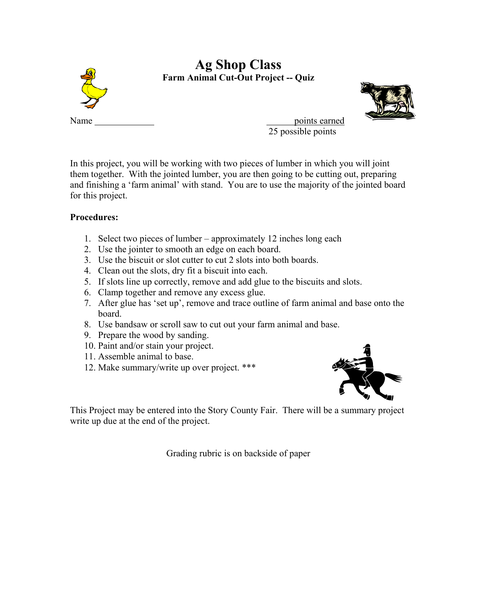

In this project, you will be working with two pieces of lumber in which you will joint them together. With the jointed lumber, you are then going to be cutting out, preparing and finishing a 'farm animal' with stand. You are to use the majority of the jointed board for this project.

## **Procedures:**

- 1. Select two pieces of lumber approximately 12 inches long each
- 2. Use the jointer to smooth an edge on each board.
- 3. Use the biscuit or slot cutter to cut 2 slots into both boards.
- 4. Clean out the slots, dry fit a biscuit into each.
- 5. If slots line up correctly, remove and add glue to the biscuits and slots.
- 6. Clamp together and remove any excess glue.
- 7. After glue has 'set up', remove and trace outline of farm animal and base onto the board.
- 8. Use bandsaw or scroll saw to cut out your farm animal and base.
- 9. Prepare the wood by sanding.
- 10. Paint and/or stain your project.
- 11. Assemble animal to base.
- 12. Make summary/write up over project. \*\*\*



This Project may be entered into the Story County Fair. There will be a summary project write up due at the end of the project.

Grading rubric is on backside of paper